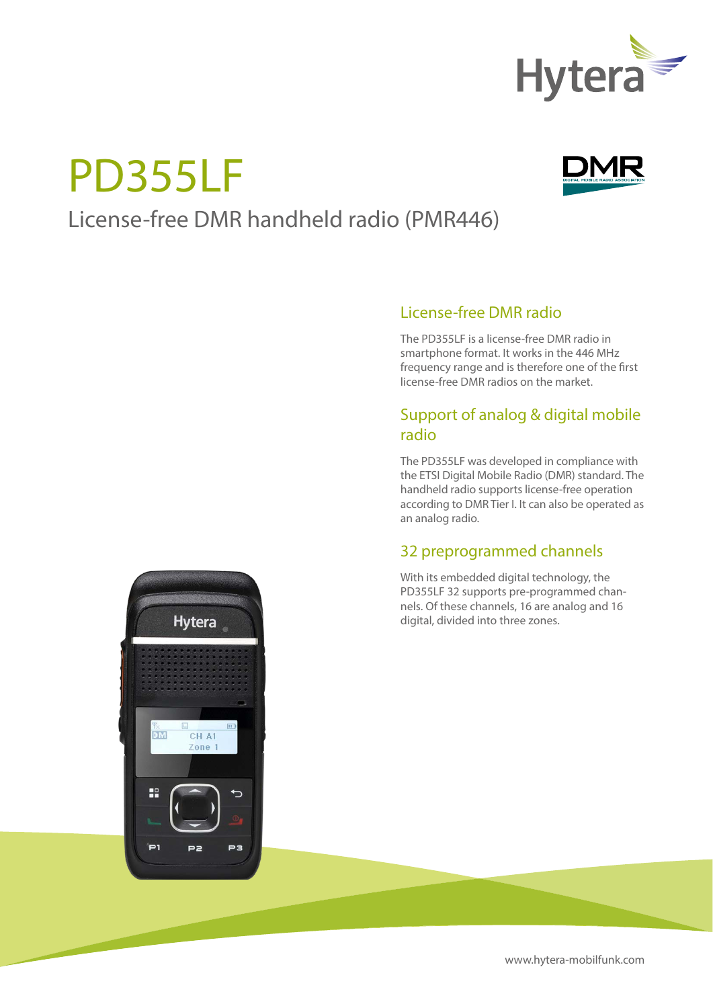

# PD355LF



## License-free DMR handheld radio (PMR446)

### License-free DMR radio

The PD355LF is a license-free DMR radio in smartphone format. It works in the 446 MHz frequency range and is therefore one of the first license-free DMR radios on the market.

#### Support of analog & digital mobile radio

The PD355LF was developed in compliance with the ETSI Digital Mobile Radio (DMR) standard. The handheld radio supports license-free operation according to DMR Tier I. It can also be operated as an analog radio.

#### 32 preprogrammed channels

With its embedded digital technology, the PD355LF 32 supports pre-programmed channels. Of these channels, 16 are analog and 16 digital, divided into three zones.